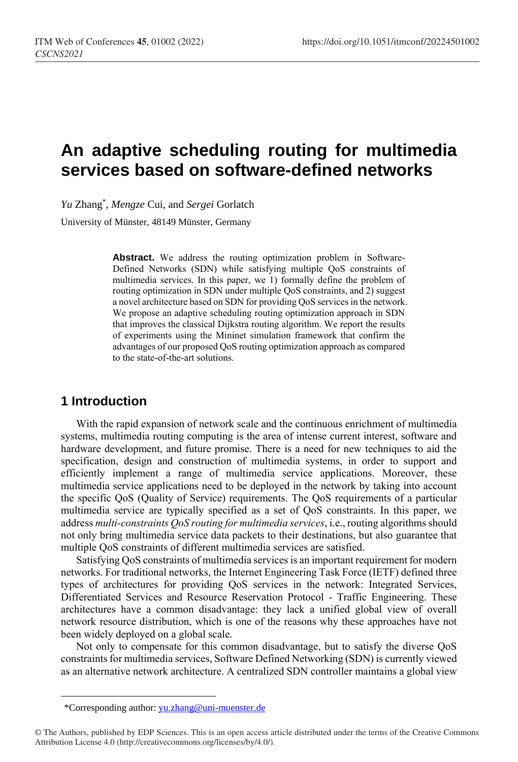# **An adaptive scheduling routing for multimedia services based on software-defined networks**

*Yu* Zhang\* , *Mengze* Cui, and *Sergei* Gorlatch

University of Münster, 48149 Münster, Germany

Abstract. We address the routing optimization problem in Software-Defined Networks (SDN) while satisfying multiple QoS constraints of multimedia services. In this paper, we 1) formally define the problem of routing optimization in SDN under multiple QoS constraints, and 2) suggest a novel architecture based on SDN for providing QoS services in the network. We propose an adaptive scheduling routing optimization approach in SDN that improves the classical Dijkstra routing algorithm. We report the results of experiments using the Mininet simulation framework that confirm the advantages of our proposed QoS routing optimization approach as compared to the state-of-the-art solutions.

### **1 Introduction**

 $\overline{a}$ 

With the rapid expansion of network scale and the continuous enrichment of multimedia systems, multimedia routing computing is the area of intense current interest, software and hardware development, and future promise. There is a need for new techniques to aid the specification, design and construction of multimedia systems, in order to support and efficiently implement a range of multimedia service applications. Moreover, these multimedia service applications need to be deployed in the network by taking into account the specific QoS (Quality of Service) requirements. The QoS requirements of a particular multimedia service are typically specified as a set of QoS constraints. In this paper, we address *multi-constraints QoS routing for multimedia services*, i.e., routing algorithms should not only bring multimedia service data packets to their destinations, but also guarantee that multiple QoS constraints of different multimedia services are satisfied.

Satisfying QoS constraints of multimedia services is an important requirement for modern networks. For traditional networks, the Internet Engineering Task Force (IETF) defined three types of architectures for providing QoS services in the network: Integrated Services, Differentiated Services and Resource Reservation Protocol - Traffic Engineering. These architectures have a common disadvantage: they lack a unified global view of overall network resource distribution, which is one of the reasons why these approaches have not been widely deployed on a global scale.

Not only to compensate for this common disadvantage, but to satisfy the diverse QoS constraints for multimedia services, Software Defined Networking (SDN) is currently viewed as an alternative network architecture. A centralized SDN controller maintains a global view

<sup>\*</sup>Corresponding author: [yu.zhang@uni-muenster.de](http://uni-muenster.de/)

<sup>©</sup> The Authors, published by EDP Sciences. This is an open access article distributed under the terms of the Creative Commons Attribution License 4.0 (http://creativecommons.org/licenses/by/4.0/).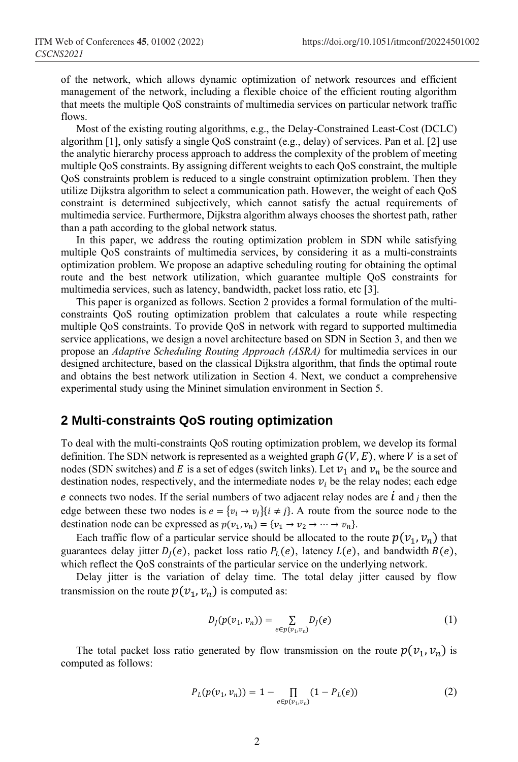of the network, which allows dynamic optimization of network resources and efficient management of the network, including a flexible choice of the efficient routing algorithm that meets the multiple QoS constraints of multimedia services on particular network traffic flows.

Most of the existing routing algorithms, e.g., the Delay-Constrained Least-Cost (DCLC) algorithm [1], only satisfy a single QoS constraint (e.g., delay) of services. Pan et al. [2] use the analytic hierarchy process approach to address the complexity of the problem of meeting multiple QoS constraints. By assigning different weights to each QoS constraint, the multiple QoS constraints problem is reduced to a single constraint optimization problem. Then they utilize Dijkstra algorithm to select a communication path. However, the weight of each QoS constraint is determined subjectively, which cannot satisfy the actual requirements of multimedia service. Furthermore, Dijkstra algorithm always chooses the shortest path, rather than a path according to the global network status.

In this paper, we address the routing optimization problem in SDN while satisfying multiple QoS constraints of multimedia services, by considering it as a multi-constraints optimization problem. We propose an adaptive scheduling routing for obtaining the optimal route and the best network utilization, which guarantee multiple QoS constraints for multimedia services, such as latency, bandwidth, packet loss ratio, etc [3].

This paper is organized as follows. Section 2 provides a formal formulation of the multiconstraints QoS routing optimization problem that calculates a route while respecting multiple QoS constraints. To provide QoS in network with regard to supported multimedia service applications, we design a novel architecture based on SDN in Section 3, and then we propose an *Adaptive Scheduling Routing Approach (ASRA)* for multimedia services in our designed architecture, based on the classical Dijkstra algorithm, that finds the optimal route and obtains the best network utilization in Section 4. Next, we conduct a comprehensive experimental study using the Mininet simulation environment in Section 5.

#### **2 Multi-constraints QoS routing optimization**

To deal with the multi-constraints QoS routing optimization problem, we develop its formal definition. The SDN network is represented as a weighted graph  $G(V, E)$ , where V is a set of nodes (SDN switches) and E is a set of edges (switch links). Let  $v_1$  and  $v_n$  be the source and destination nodes, respectively, and the intermediate nodes  $v_i$  be the relay nodes; each edge e connects two nodes. If the serial numbers of two adjacent relay nodes are  $\dot{l}$  and  $j$  then the edge between these two nodes is  $e = \{v_i \rightarrow v_j\} \{i \neq j\}$ . A route from the source node to the destination node can be expressed as  $p(v_1, v_n) = \{v_1 \to v_2 \to \cdots \to v_n\}.$ 

Each traffic flow of a particular service should be allocated to the route  $p(v_1, v_n)$  that guarantees delay jitter  $D_I(e)$ , packet loss ratio  $P_L(e)$ , latency  $L(e)$ , and bandwidth  $B(e)$ , which reflect the QoS constraints of the particular service on the underlying network.

Delay jitter is the variation of delay time. The total delay jitter caused by flow transmission on the route  $p(v_1, v_n)$  is computed as:

$$
D_j(p(v_1, v_n)) = \sum_{e \in p(v_1, v_n)} D_j(e)
$$
 (1)

The total packet loss ratio generated by flow transmission on the route  $p(v_1, v_n)$  is computed as follows:

$$
P_L(p(v_1, v_n)) = 1 - \prod_{e \in p(v_1, v_n)} (1 - P_L(e))
$$
\n(2)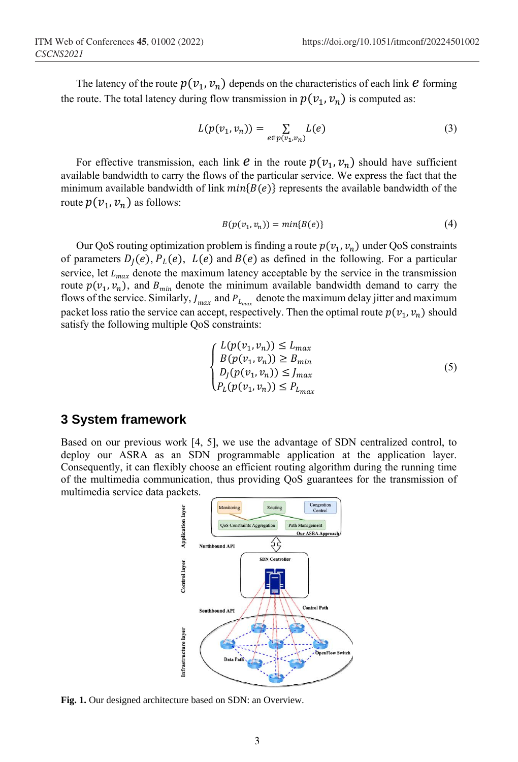The latency of the route  $p(v_1, v_n)$  depends on the characteristics of each link  $e$  forming the route. The total latency during flow transmission in  $p(v_1, v_n)$  is computed as:

$$
L(p(v_1, v_n)) = \sum_{e \in p(v_1, v_n)} L(e)
$$
 (3)

For effective transmission, each link  $e$  in the route  $p(v_1, v_n)$  should have sufficient available bandwidth to carry the flows of the particular service. We express the fact that the minimum available bandwidth of link  $min\{B(e)\}\$  represents the available bandwidth of the route  $p(v_1, v_n)$  as follows:

$$
B(p(v_1, v_n)) = min{B(e)}
$$
\n<sup>(4)</sup>

Our QoS routing optimization problem is finding a route  $p(v_1, v_n)$  under QoS constraints of parameters  $D_l(e)$ ,  $P_l(e)$ ,  $L(e)$  and  $B(e)$  as defined in the following. For a particular service, let  $L_{max}$  denote the maximum latency acceptable by the service in the transmission route  $p(v_1, v_n)$ , and  $B_{min}$  denote the minimum available bandwidth demand to carry the flows of the service. Similarly,  $J_{max}$  and  $P_{L_{max}}$  denote the maximum delay jitter and maximum packet loss ratio the service can accept, respectively. Then the optimal route  $p(v_1, v_n)$  should satisfy the following multiple QoS constraints:

$$
\begin{cases}\nL(p(v_1, v_n)) \le L_{max} \\
B(p(v_1, v_n)) \ge B_{min} \\
D_j(p(v_1, v_n)) \le J_{max} \\
P_L(p(v_1, v_n)) \le P_{L_{max}}\n\end{cases} \tag{5}
$$

#### **3 System framework**

Based on our previous work [4, 5], we use the advantage of SDN centralized control, to deploy our ASRA as an SDN programmable application at the application layer. Consequently, it can flexibly choose an efficient routing algorithm during the running time of the multimedia communication, thus providing QoS guarantees for the transmission of multimedia service data packets.



**Fig. 1.** Our designed architecture based on SDN: an Overview.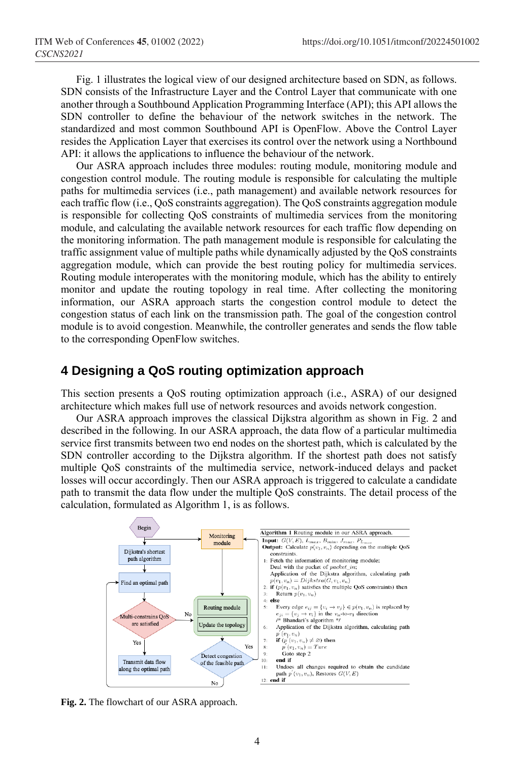Fig. 1 illustrates the logical view of our designed architecture based on SDN, as follows. SDN consists of the Infrastructure Layer and the Control Layer that communicate with one another through a Southbound Application Programming Interface (API); this API allows the SDN controller to define the behaviour of the network switches in the network. The standardized and most common Southbound API is OpenFlow. Above the Control Layer resides the Application Layer that exercises its control over the network using a Northbound API: it allows the applications to influence the behaviour of the network.

Our ASRA approach includes three modules: routing module, monitoring module and congestion control module. The routing module is responsible for calculating the multiple paths for multimedia services (i.e., path management) and available network resources for each traffic flow (i.e., QoS constraints aggregation). The QoS constraints aggregation module is responsible for collecting QoS constraints of multimedia services from the monitoring module, and calculating the available network resources for each traffic flow depending on the monitoring information. The path management module is responsible for calculating the traffic assignment value of multiple paths while dynamically adjusted by the QoS constraints aggregation module, which can provide the best routing policy for multimedia services. Routing module interoperates with the monitoring module, which has the ability to entirely monitor and update the routing topology in real time. After collecting the monitoring information, our ASRA approach starts the congestion control module to detect the congestion status of each link on the transmission path. The goal of the congestion control module is to avoid congestion. Meanwhile, the controller generates and sends the flow table to the corresponding OpenFlow switches.

#### **4 Designing a QoS routing optimization approach**

This section presents a QoS routing optimization approach (i.e., ASRA) of our designed architecture which makes full use of network resources and avoids network congestion.

Our ASRA approach improves the classical Dijkstra algorithm as shown in Fig. 2 and described in the following. In our ASRA approach, the data flow of a particular multimedia service first transmits between two end nodes on the shortest path, which is calculated by the SDN controller according to the Dijkstra algorithm. If the shortest path does not satisfy multiple QoS constraints of the multimedia service, network-induced delays and packet losses will occur accordingly. Then our ASRA approach is triggered to calculate a candidate path to transmit the data flow under the multiple QoS constraints. The detail process of the calculation, formulated as Algorithm 1, is as follows.



**Fig. 2.** The flowchart of our ASRA approach.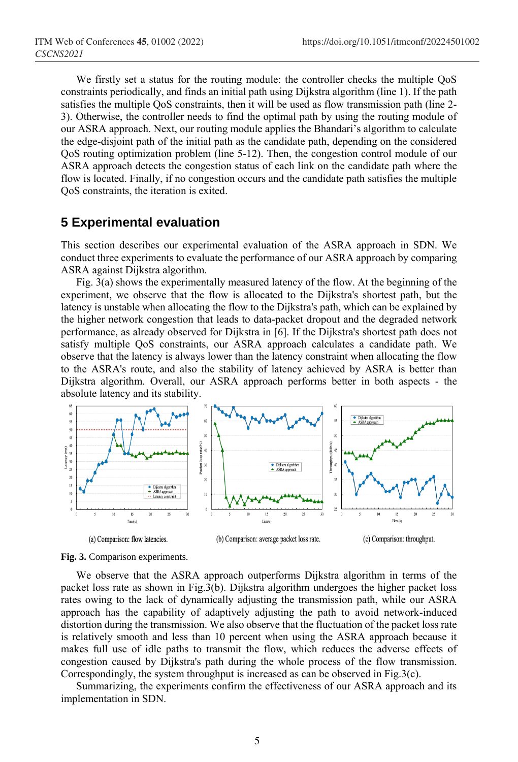We firstly set a status for the routing module: the controller checks the multiple QoS constraints periodically, and finds an initial path using Dijkstra algorithm (line 1). If the path satisfies the multiple QoS constraints, then it will be used as flow transmission path (line 2- 3). Otherwise, the controller needs to find the optimal path by using the routing module of our ASRA approach. Next, our routing module applies the Bhandari's algorithm to calculate the edge-disjoint path of the initial path as the candidate path, depending on the considered QoS routing optimization problem (line 5-12). Then, the congestion control module of our ASRA approach detects the congestion status of each link on the candidate path where the flow is located. Finally, if no congestion occurs and the candidate path satisfies the multiple QoS constraints, the iteration is exited.

#### **5 Experimental evaluation**

This section describes our experimental evaluation of the ASRA approach in SDN. We conduct three experiments to evaluate the performance of our ASRA approach by comparing ASRA against Dijkstra algorithm.

Fig. 3(a) shows the experimentally measured latency of the flow. At the beginning of the experiment, we observe that the flow is allocated to the Dijkstra's shortest path, but the latency is unstable when allocating the flow to the Dijkstra's path, which can be explained by the higher network congestion that leads to data-packet dropout and the degraded network performance, as already observed for Dijkstra in [6]. If the Dijkstra's shortest path does not satisfy multiple QoS constraints, our ASRA approach calculates a candidate path. We observe that the latency is always lower than the latency constraint when allocating the flow to the ASRA's route, and also the stability of latency achieved by ASRA is better than Dijkstra algorithm. Overall, our ASRA approach performs better in both aspects - the absolute latency and its stability.



**Fig. 3.** Comparison experiments.

We observe that the ASRA approach outperforms Dijkstra algorithm in terms of the packet loss rate as shown in Fig.3(b). Dijkstra algorithm undergoes the higher packet loss rates owing to the lack of dynamically adjusting the transmission path, while our ASRA approach has the capability of adaptively adjusting the path to avoid network-induced distortion during the transmission. We also observe that the fluctuation of the packet loss rate is relatively smooth and less than 10 percent when using the ASRA approach because it makes full use of idle paths to transmit the flow, which reduces the adverse effects of congestion caused by Dijkstra's path during the whole process of the flow transmission. Correspondingly, the system throughput is increased as can be observed in Fig.3(c).

Summarizing, the experiments confirm the effectiveness of our ASRA approach and its implementation in SDN.